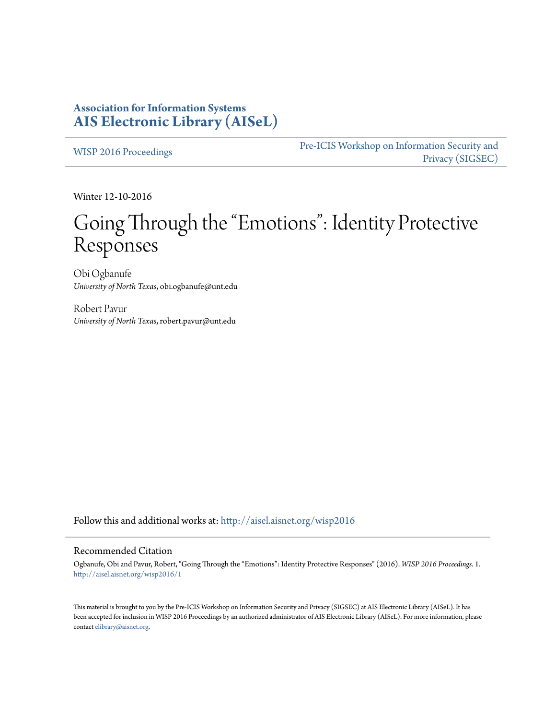# **Association for Information Systems [AIS Electronic Library \(AISeL\)](http://aisel.aisnet.org?utm_source=aisel.aisnet.org%2Fwisp2016%2F1&utm_medium=PDF&utm_campaign=PDFCoverPages)**

[WISP 2016 Proceedings](http://aisel.aisnet.org/wisp2016?utm_source=aisel.aisnet.org%2Fwisp2016%2F1&utm_medium=PDF&utm_campaign=PDFCoverPages)

[Pre-ICIS Workshop on Information Security and](http://aisel.aisnet.org/sigsec?utm_source=aisel.aisnet.org%2Fwisp2016%2F1&utm_medium=PDF&utm_campaign=PDFCoverPages) [Privacy \(SIGSEC\)](http://aisel.aisnet.org/sigsec?utm_source=aisel.aisnet.org%2Fwisp2016%2F1&utm_medium=PDF&utm_campaign=PDFCoverPages)

Winter 12-10-2016

# Going Through the "Emotions": Identity Protective Responses

Obi Ogbanufe *University of North Texas*, obi.ogbanufe@unt.edu

Robert Pavur *University of North Texas*, robert.pavur@unt.edu

Follow this and additional works at: [http://aisel.aisnet.org/wisp2016](http://aisel.aisnet.org/wisp2016?utm_source=aisel.aisnet.org%2Fwisp2016%2F1&utm_medium=PDF&utm_campaign=PDFCoverPages)

#### Recommended Citation

Ogbanufe, Obi and Pavur, Robert, "Going Through the "Emotions": Identity Protective Responses" (2016). *WISP 2016 Proceedings*. 1. [http://aisel.aisnet.org/wisp2016/1](http://aisel.aisnet.org/wisp2016/1?utm_source=aisel.aisnet.org%2Fwisp2016%2F1&utm_medium=PDF&utm_campaign=PDFCoverPages)

This material is brought to you by the Pre-ICIS Workshop on Information Security and Privacy (SIGSEC) at AIS Electronic Library (AISeL). It has been accepted for inclusion in WISP 2016 Proceedings by an authorized administrator of AIS Electronic Library (AISeL). For more information, please contact [elibrary@aisnet.org.](mailto:elibrary@aisnet.org%3E)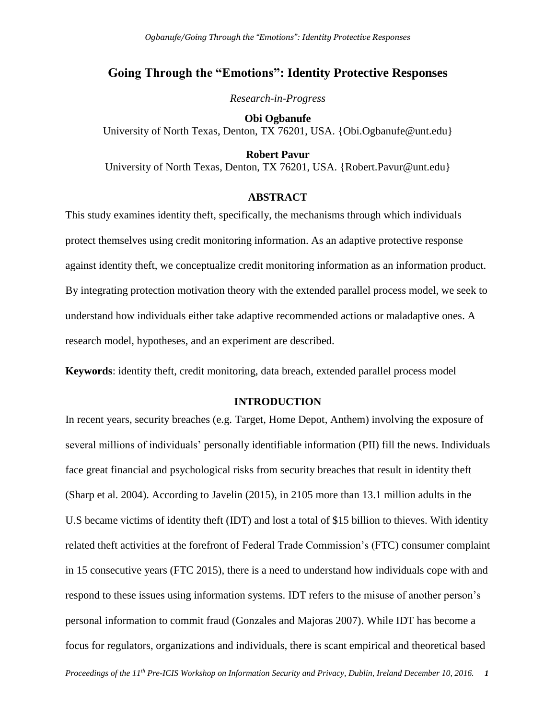## **Going Through the "Emotions": Identity Protective Responses**

*Research-in-Progress*

**Obi Ogbanufe** University of North Texas, Denton, TX 76201, USA. {Obi.Ogbanufe@unt.edu}

**Robert Pavur** University of North Texas, Denton, TX 76201, USA. {Robert.Pavur@unt.edu}

#### **ABSTRACT**

This study examines identity theft, specifically, the mechanisms through which individuals protect themselves using credit monitoring information. As an adaptive protective response against identity theft, we conceptualize credit monitoring information as an information product. By integrating protection motivation theory with the extended parallel process model, we seek to understand how individuals either take adaptive recommended actions or maladaptive ones. A research model, hypotheses, and an experiment are described.

**Keywords**: identity theft, credit monitoring, data breach, extended parallel process model

## **INTRODUCTION**

In recent years, security breaches (e.g. Target, Home Depot, Anthem) involving the exposure of several millions of individuals' personally identifiable information (PII) fill the news. Individuals face great financial and psychological risks from security breaches that result in identity theft (Sharp et al. 2004). According to Javelin (2015), in 2105 more than 13.1 million adults in the U.S became victims of identity theft (IDT) and lost a total of \$15 billion to thieves. With identity related theft activities at the forefront of Federal Trade Commission's (FTC) consumer complaint in 15 consecutive years (FTC 2015), there is a need to understand how individuals cope with and respond to these issues using information systems. IDT refers to the misuse of another person's personal information to commit fraud (Gonzales and Majoras 2007). While IDT has become a focus for regulators, organizations and individuals, there is scant empirical and theoretical based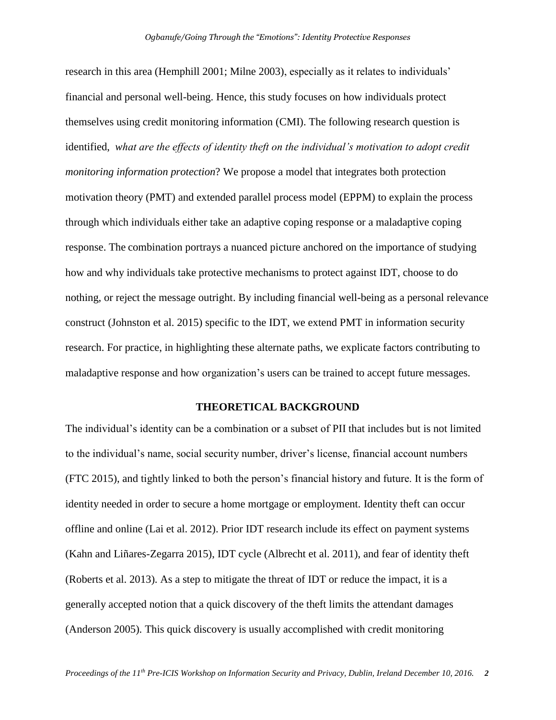research in this area (Hemphill 2001; Milne 2003), especially as it relates to individuals' financial and personal well-being. Hence, this study focuses on how individuals protect themselves using credit monitoring information (CMI). The following research question is identified, *what are the effects of identity theft on the individual's motivation to adopt credit monitoring information protection*? We propose a model that integrates both protection motivation theory (PMT) and extended parallel process model (EPPM) to explain the process through which individuals either take an adaptive coping response or a maladaptive coping response. The combination portrays a nuanced picture anchored on the importance of studying how and why individuals take protective mechanisms to protect against IDT, choose to do nothing, or reject the message outright. By including financial well-being as a personal relevance construct (Johnston et al. 2015) specific to the IDT, we extend PMT in information security research. For practice, in highlighting these alternate paths, we explicate factors contributing to maladaptive response and how organization's users can be trained to accept future messages.

## **THEORETICAL BACKGROUND**

The individual's identity can be a combination or a subset of PII that includes but is not limited to the individual's name, social security number, driver's license, financial account numbers (FTC 2015), and tightly linked to both the person's financial history and future. It is the form of identity needed in order to secure a home mortgage or employment. Identity theft can occur offline and online (Lai et al. 2012). Prior IDT research include its effect on payment systems (Kahn and Liñares-Zegarra 2015), IDT cycle (Albrecht et al. 2011), and fear of identity theft (Roberts et al. 2013). As a step to mitigate the threat of IDT or reduce the impact, it is a generally accepted notion that a quick discovery of the theft limits the attendant damages (Anderson 2005). This quick discovery is usually accomplished with credit monitoring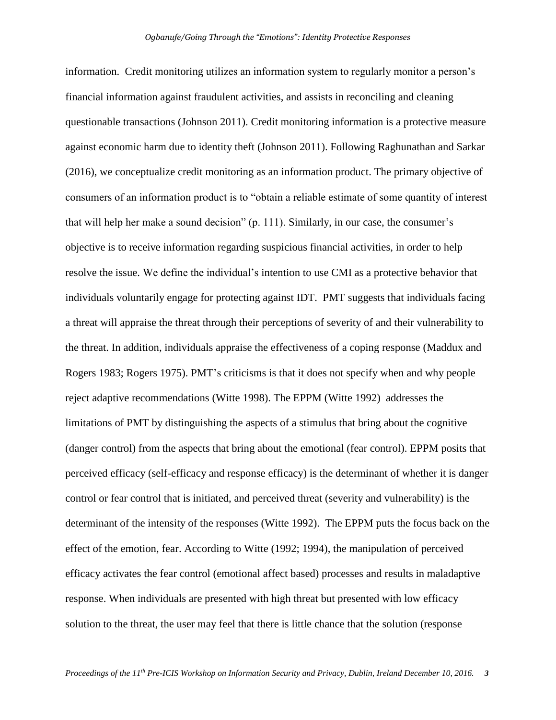information. Credit monitoring utilizes an information system to regularly monitor a person's financial information against fraudulent activities, and assists in reconciling and cleaning questionable transactions (Johnson 2011). Credit monitoring information is a protective measure against economic harm due to identity theft (Johnson 2011). Following Raghunathan and Sarkar (2016), we conceptualize credit monitoring as an information product. The primary objective of consumers of an information product is to "obtain a reliable estimate of some quantity of interest that will help her make a sound decision" (p. 111). Similarly, in our case, the consumer's objective is to receive information regarding suspicious financial activities, in order to help resolve the issue. We define the individual's intention to use CMI as a protective behavior that individuals voluntarily engage for protecting against IDT. PMT suggests that individuals facing a threat will appraise the threat through their perceptions of severity of and their vulnerability to the threat. In addition, individuals appraise the effectiveness of a coping response (Maddux and Rogers 1983; Rogers 1975). PMT's criticisms is that it does not specify when and why people reject adaptive recommendations (Witte 1998). The EPPM (Witte 1992) addresses the limitations of PMT by distinguishing the aspects of a stimulus that bring about the cognitive (danger control) from the aspects that bring about the emotional (fear control). EPPM posits that perceived efficacy (self-efficacy and response efficacy) is the determinant of whether it is danger control or fear control that is initiated, and perceived threat (severity and vulnerability) is the determinant of the intensity of the responses (Witte 1992). The EPPM puts the focus back on the effect of the emotion, fear. According to Witte (1992; 1994), the manipulation of perceived efficacy activates the fear control (emotional affect based) processes and results in maladaptive response. When individuals are presented with high threat but presented with low efficacy solution to the threat, the user may feel that there is little chance that the solution (response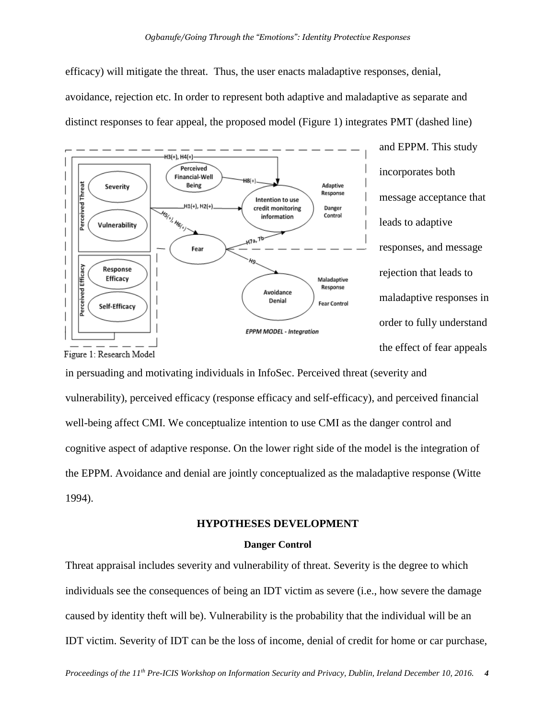efficacy) will mitigate the threat. Thus, the user enacts maladaptive responses, denial, avoidance, rejection etc. In order to represent both adaptive and maladaptive as separate and distinct responses to fear appeal, the proposed model (Figure 1) integrates PMT (dashed line)



and EPPM. This study incorporates both message acceptance that leads to adaptive responses, and message rejection that leads to maladaptive responses in order to fully understand the effect of fear appeals

Figure 1: Research Model

in persuading and motivating individuals in InfoSec. Perceived threat (severity and vulnerability), perceived efficacy (response efficacy and self-efficacy), and perceived financial well-being affect CMI. We conceptualize intention to use CMI as the danger control and cognitive aspect of adaptive response. On the lower right side of the model is the integration of the EPPM. Avoidance and denial are jointly conceptualized as the maladaptive response (Witte 1994).

#### **HYPOTHESES DEVELOPMENT**

#### **Danger Control**

Threat appraisal includes severity and vulnerability of threat. Severity is the degree to which individuals see the consequences of being an IDT victim as severe (i.e., how severe the damage caused by identity theft will be). Vulnerability is the probability that the individual will be an IDT victim. Severity of IDT can be the loss of income, denial of credit for home or car purchase,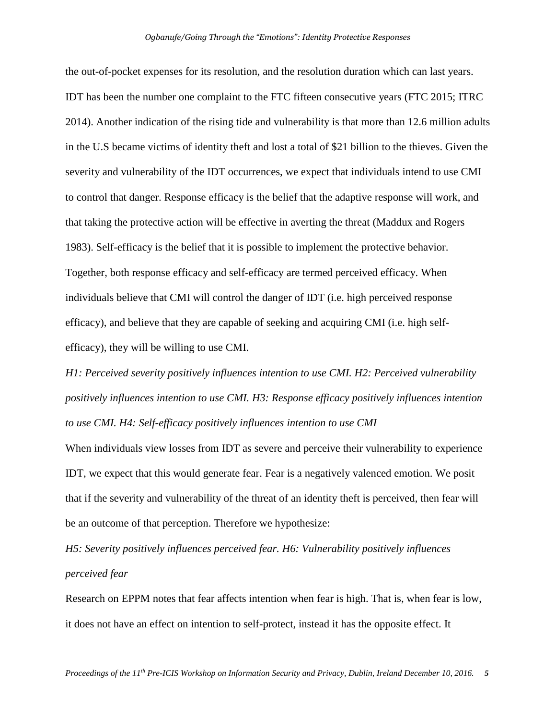the out-of-pocket expenses for its resolution, and the resolution duration which can last years. IDT has been the number one complaint to the FTC fifteen consecutive years (FTC 2015; ITRC 2014). Another indication of the rising tide and vulnerability is that more than 12.6 million adults in the U.S became victims of identity theft and lost a total of \$21 billion to the thieves. Given the severity and vulnerability of the IDT occurrences, we expect that individuals intend to use CMI to control that danger. Response efficacy is the belief that the adaptive response will work, and that taking the protective action will be effective in averting the threat (Maddux and Rogers 1983). Self-efficacy is the belief that it is possible to implement the protective behavior. Together, both response efficacy and self-efficacy are termed perceived efficacy. When individuals believe that CMI will control the danger of IDT (i.e. high perceived response efficacy), and believe that they are capable of seeking and acquiring CMI (i.e. high selfefficacy), they will be willing to use CMI.

*H1: Perceived severity positively influences intention to use CMI. H2: Perceived vulnerability positively influences intention to use CMI. H3: Response efficacy positively influences intention to use CMI. H4: Self-efficacy positively influences intention to use CMI*

When individuals view losses from IDT as severe and perceive their vulnerability to experience IDT, we expect that this would generate fear. Fear is a negatively valenced emotion. We posit that if the severity and vulnerability of the threat of an identity theft is perceived, then fear will be an outcome of that perception. Therefore we hypothesize:

*H5: Severity positively influences perceived fear. H6: Vulnerability positively influences perceived fear*

Research on EPPM notes that fear affects intention when fear is high. That is, when fear is low, it does not have an effect on intention to self-protect, instead it has the opposite effect. It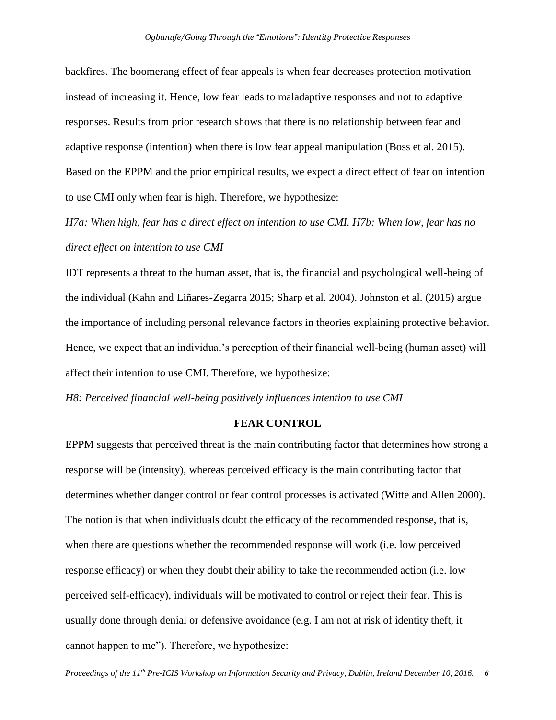backfires. The boomerang effect of fear appeals is when fear decreases protection motivation instead of increasing it. Hence, low fear leads to maladaptive responses and not to adaptive responses. Results from prior research shows that there is no relationship between fear and adaptive response (intention) when there is low fear appeal manipulation (Boss et al. 2015). Based on the EPPM and the prior empirical results, we expect a direct effect of fear on intention to use CMI only when fear is high. Therefore, we hypothesize:

*H7a: When high, fear has a direct effect on intention to use CMI. H7b: When low, fear has no direct effect on intention to use CMI*

IDT represents a threat to the human asset, that is, the financial and psychological well-being of the individual (Kahn and Liñares-Zegarra 2015; Sharp et al. 2004). Johnston et al. (2015) argue the importance of including personal relevance factors in theories explaining protective behavior. Hence, we expect that an individual's perception of their financial well-being (human asset) will affect their intention to use CMI. Therefore, we hypothesize:

*H8: Perceived financial well-being positively influences intention to use CMI*

## **FEAR CONTROL**

EPPM suggests that perceived threat is the main contributing factor that determines how strong a response will be (intensity), whereas perceived efficacy is the main contributing factor that determines whether danger control or fear control processes is activated (Witte and Allen 2000). The notion is that when individuals doubt the efficacy of the recommended response, that is, when there are questions whether the recommended response will work (i.e. low perceived response efficacy) or when they doubt their ability to take the recommended action (i.e. low perceived self-efficacy), individuals will be motivated to control or reject their fear. This is usually done through denial or defensive avoidance (e.g. I am not at risk of identity theft, it cannot happen to me"). Therefore, we hypothesize: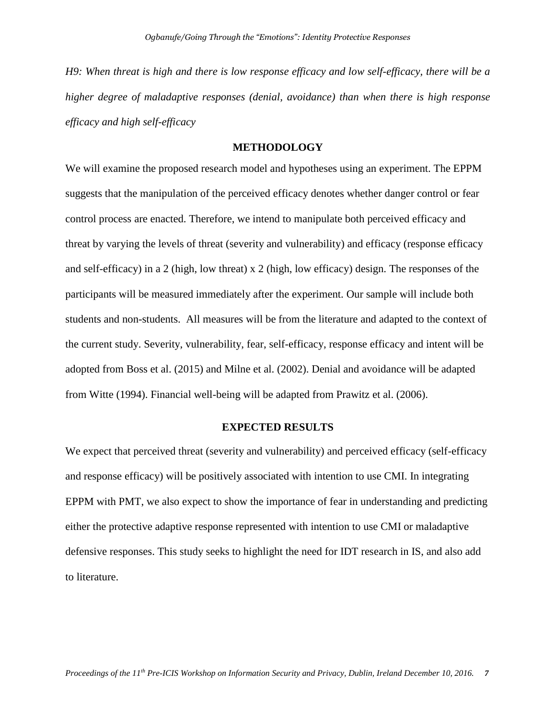*H9: When threat is high and there is low response efficacy and low self-efficacy, there will be a higher degree of maladaptive responses (denial, avoidance) than when there is high response efficacy and high self-efficacy*

### **METHODOLOGY**

We will examine the proposed research model and hypotheses using an experiment. The EPPM suggests that the manipulation of the perceived efficacy denotes whether danger control or fear control process are enacted. Therefore, we intend to manipulate both perceived efficacy and threat by varying the levels of threat (severity and vulnerability) and efficacy (response efficacy and self-efficacy) in a 2 (high, low threat) x 2 (high, low efficacy) design. The responses of the participants will be measured immediately after the experiment. Our sample will include both students and non-students. All measures will be from the literature and adapted to the context of the current study. Severity, vulnerability, fear, self-efficacy, response efficacy and intent will be adopted from Boss et al. (2015) and Milne et al. (2002). Denial and avoidance will be adapted from Witte (1994). Financial well-being will be adapted from Prawitz et al. (2006).

## **EXPECTED RESULTS**

We expect that perceived threat (severity and vulnerability) and perceived efficacy (self-efficacy and response efficacy) will be positively associated with intention to use CMI. In integrating EPPM with PMT, we also expect to show the importance of fear in understanding and predicting either the protective adaptive response represented with intention to use CMI or maladaptive defensive responses. This study seeks to highlight the need for IDT research in IS, and also add to literature.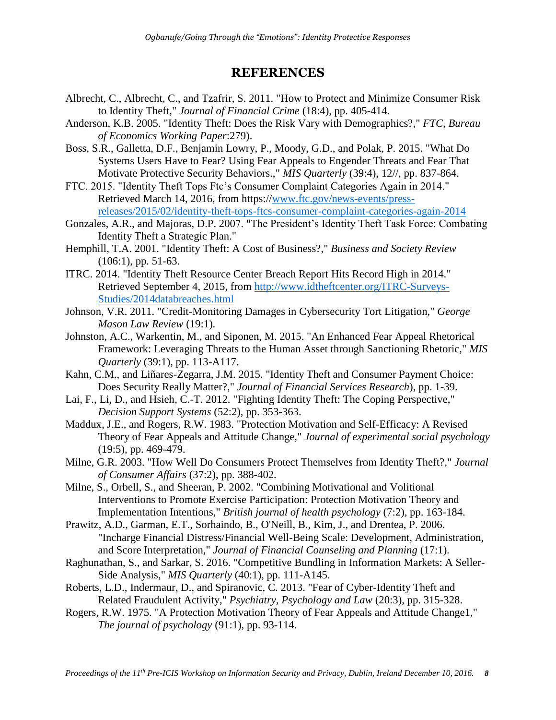## **REFERENCES**

- Albrecht, C., Albrecht, C., and Tzafrir, S. 2011. "How to Protect and Minimize Consumer Risk to Identity Theft," *Journal of Financial Crime* (18:4), pp. 405-414.
- Anderson, K.B. 2005. "Identity Theft: Does the Risk Vary with Demographics?," *FTC, Bureau of Economics Working Paper*:279).
- Boss, S.R., Galletta, D.F., Benjamin Lowry, P., Moody, G.D., and Polak, P. 2015. "What Do Systems Users Have to Fear? Using Fear Appeals to Engender Threats and Fear That Motivate Protective Security Behaviors.," *MIS Quarterly* (39:4), 12//, pp. 837-864.
- FTC. 2015. "Identity Theft Tops Ftc's Consumer Complaint Categories Again in 2014." Retrieved March 14, 2016, from https:/[/www.ftc.gov/news-events/press](http://www.ftc.gov/news-events/press-releases/2015/02/identity-theft-tops-ftcs-consumer-complaint-categories-again-2014)[releases/2015/02/identity-theft-tops-ftcs-consumer-complaint-categories-again-2014](http://www.ftc.gov/news-events/press-releases/2015/02/identity-theft-tops-ftcs-consumer-complaint-categories-again-2014)
- Gonzales, A.R., and Majoras, D.P. 2007. "The President's Identity Theft Task Force: Combating Identity Theft a Strategic Plan."
- Hemphill, T.A. 2001. "Identity Theft: A Cost of Business?," *Business and Society Review* (106:1), pp. 51-63.
- ITRC. 2014. "Identity Theft Resource Center Breach Report Hits Record High in 2014." Retrieved September 4, 2015, from [http://www.idtheftcenter.org/ITRC-Surveys-](http://www.idtheftcenter.org/ITRC-Surveys-Studies/2014databreaches.html)[Studies/2014databreaches.html](http://www.idtheftcenter.org/ITRC-Surveys-Studies/2014databreaches.html)
- Johnson, V.R. 2011. "Credit-Monitoring Damages in Cybersecurity Tort Litigation," *George Mason Law Review* (19:1).
- Johnston, A.C., Warkentin, M., and Siponen, M. 2015. "An Enhanced Fear Appeal Rhetorical Framework: Leveraging Threats to the Human Asset through Sanctioning Rhetoric," *MIS Quarterly* (39:1), pp. 113-A117.
- Kahn, C.M., and Liñares-Zegarra, J.M. 2015. "Identity Theft and Consumer Payment Choice: Does Security Really Matter?," *Journal of Financial Services Research*), pp. 1-39.
- Lai, F., Li, D., and Hsieh, C.-T. 2012. "Fighting Identity Theft: The Coping Perspective," *Decision Support Systems* (52:2), pp. 353-363.
- Maddux, J.E., and Rogers, R.W. 1983. "Protection Motivation and Self-Efficacy: A Revised Theory of Fear Appeals and Attitude Change," *Journal of experimental social psychology* (19:5), pp. 469-479.
- Milne, G.R. 2003. "How Well Do Consumers Protect Themselves from Identity Theft?," *Journal of Consumer Affairs* (37:2), pp. 388-402.
- Milne, S., Orbell, S., and Sheeran, P. 2002. "Combining Motivational and Volitional Interventions to Promote Exercise Participation: Protection Motivation Theory and Implementation Intentions," *British journal of health psychology* (7:2), pp. 163-184.
- Prawitz, A.D., Garman, E.T., Sorhaindo, B., O'Neill, B., Kim, J., and Drentea, P. 2006. "Incharge Financial Distress/Financial Well-Being Scale: Development, Administration, and Score Interpretation," *Journal of Financial Counseling and Planning* (17:1).
- Raghunathan, S., and Sarkar, S. 2016. "Competitive Bundling in Information Markets: A Seller-Side Analysis," *MIS Quarterly* (40:1), pp. 111-A145.
- Roberts, L.D., Indermaur, D., and Spiranovic, C. 2013. "Fear of Cyber-Identity Theft and Related Fraudulent Activity," *Psychiatry, Psychology and Law* (20:3), pp. 315-328.
- Rogers, R.W. 1975. "A Protection Motivation Theory of Fear Appeals and Attitude Change1," *The journal of psychology* (91:1), pp. 93-114.